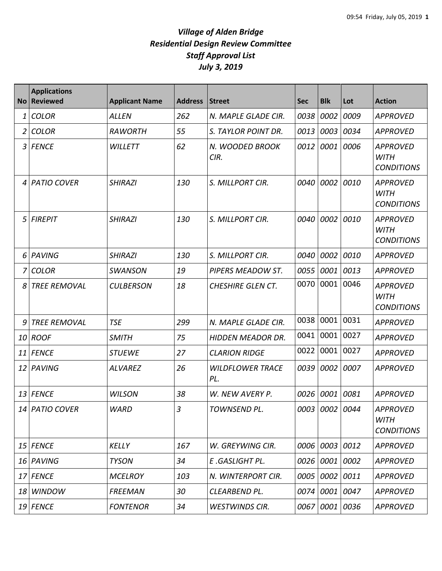|    | <b>Applications</b><br>No Reviewed | <b>Applicant Name</b> | <b>Address</b> | <b>Street</b>                  | <b>Sec</b> | <b>Blk</b>     | Lot  | <b>Action</b>                                       |
|----|------------------------------------|-----------------------|----------------|--------------------------------|------------|----------------|------|-----------------------------------------------------|
| 1  | <b>COLOR</b>                       | <b>ALLEN</b>          | 262            | N. MAPLE GLADE CIR.            | 0038       | 0002           | 0009 | <b>APPROVED</b>                                     |
| 2  | <b>COLOR</b>                       | <b>RAWORTH</b>        | 55             | S. TAYLOR POINT DR.            | 0013       | 0003           | 0034 | <b>APPROVED</b>                                     |
| 3  | <b>FENCE</b>                       | <b>WILLETT</b>        | 62             | N. WOODED BROOK<br>CIR.        | 0012       | 0001           | 0006 | <b>APPROVED</b><br><b>WITH</b><br><b>CONDITIONS</b> |
| 4  | <b>PATIO COVER</b>                 | <b>SHIRAZI</b>        | 130            | S. MILLPORT CIR.               | 0040       | 0002           | 0010 | <b>APPROVED</b><br><b>WITH</b><br><b>CONDITIONS</b> |
| 5  | <b>FIREPIT</b>                     | <b>SHIRAZI</b>        | 130            | S. MILLPORT CIR.               | 0040       | 0002           | 0010 | <b>APPROVED</b><br><b>WITH</b><br><b>CONDITIONS</b> |
| 6  | PAVING                             | <b>SHIRAZI</b>        | 130            | S. MILLPORT CIR.               | 0040       | 0002           | 0010 | <b>APPROVED</b>                                     |
|    | <b>COLOR</b>                       | <b>SWANSON</b>        | 19             | PIPERS MEADOW ST.              | 0055       | 0001           | 0013 | <b>APPROVED</b>                                     |
| 8  | <b>TREE REMOVAL</b>                | <b>CULBERSON</b>      | 18             | <b>CHESHIRE GLEN CT.</b>       | 0070       | 0001           | 0046 | <b>APPROVED</b><br><b>WITH</b><br><b>CONDITIONS</b> |
| 9  | <b>TREE REMOVAL</b>                | <b>TSE</b>            | 299            | N. MAPLE GLADE CIR.            | 0038       | 0001           | 0031 | <b>APPROVED</b>                                     |
| 10 | <b>ROOF</b>                        | <b>SMITH</b>          | 75             | <b>HIDDEN MEADOR DR.</b>       | 0041       | 0001           | 0027 | <b>APPROVED</b>                                     |
| 11 | <b>FENCE</b>                       | <b>STUEWE</b>         | 27             | <b>CLARION RIDGE</b>           | 0022       | 0001           | 0027 | <b>APPROVED</b>                                     |
| 12 | PAVING                             | <b>ALVAREZ</b>        | 26             | <b>WILDFLOWER TRACE</b><br>PL. | 0039       | 0002           | 0007 | <b>APPROVED</b>                                     |
|    | 13 FENCE                           | <b>WILSON</b>         | 38             | W. NEW AVERY P.                |            | 0026 0001      | 0081 | <b>APPROVED</b>                                     |
|    | 14 PATIO COVER                     | <b>WARD</b>           | $\overline{3}$ | TOWNSEND PL.                   |            | 0003 0002 0044 |      | <b>APPROVED</b><br><b>WITH</b><br><b>CONDITIONS</b> |
|    | 15 FENCE                           | <b>KELLY</b>          | 167            | W. GREYWING CIR.               |            | 0006 0003 0012 |      | <b>APPROVED</b>                                     |
|    | 16 PAVING                          | <b>TYSON</b>          | 34             | E.GASLIGHT PL.                 |            | 0026 0001 0002 |      | <b>APPROVED</b>                                     |
| 17 | FENCE                              | <b>MCELROY</b>        | 103            | N. WINTERPORT CIR.             |            | 0005 0002 0011 |      | <b>APPROVED</b>                                     |
|    | 18 WINDOW                          | <b>FREEMAN</b>        | 30             | CLEARBEND PL.                  |            | 0074 0001 0047 |      | <b>APPROVED</b>                                     |
|    | $19$ FENCE                         | <b>FONTENOR</b>       | 34             | <b>WESTWINDS CIR.</b>          | 0067       | 0001 0036      |      | <b>APPROVED</b>                                     |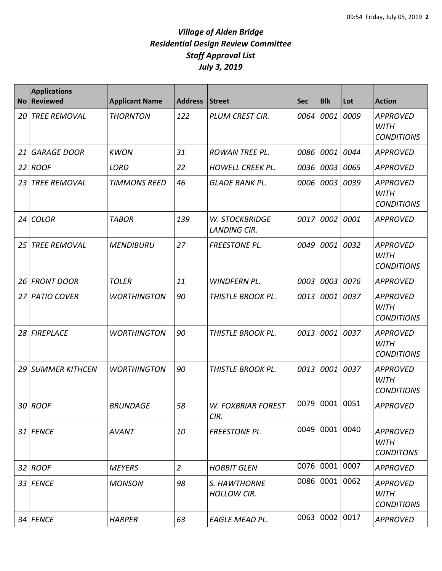| <b>No</b> | <b>Applications</b><br><b>Reviewed</b> | <b>Applicant Name</b> | <b>Address</b> | <b>Street</b>                         | <b>Sec</b> | <b>Blk</b>     | Lot  | <b>Action</b>                                       |
|-----------|----------------------------------------|-----------------------|----------------|---------------------------------------|------------|----------------|------|-----------------------------------------------------|
| 20        | <b>TREE REMOVAL</b>                    | <b>THORNTON</b>       | 122            | <b>PLUM CREST CIR.</b>                | 0064       | 0001           | 0009 | <b>APPROVED</b><br><b>WITH</b><br><b>CONDITIONS</b> |
| 21        | <b>GARAGE DOOR</b>                     | <b>KWON</b>           | 31             | <b>ROWAN TREE PL.</b>                 | 0086       | 0001           | 0044 | <b>APPROVED</b>                                     |
| 22        | <b>ROOF</b>                            | <b>LORD</b>           | 22             | <b>HOWELL CREEK PL.</b>               | 0036       | 0003           | 0065 | <b>APPROVED</b>                                     |
| 23        | <b>TREE REMOVAL</b>                    | <b>TIMMONS REED</b>   | 46             | <b>GLADE BANK PL.</b>                 | 0006       | 0003           | 0039 | <b>APPROVED</b><br><b>WITH</b><br><b>CONDITIONS</b> |
| 24        | <b>COLOR</b>                           | <b>TABOR</b>          | 139            | W. STOCKBRIDGE<br><b>LANDING CIR.</b> | 0017       | 0002           | 0001 | <b>APPROVED</b>                                     |
| 25        | <b>TREE REMOVAL</b>                    | <b>MENDIBURU</b>      | 27             | <b>FREESTONE PL.</b>                  | 0049       | 0001           | 0032 | <b>APPROVED</b><br><b>WITH</b><br><b>CONDITIONS</b> |
| 26        | <b>FRONT DOOR</b>                      | <b>TOLER</b>          | 11             | WINDFERN PL.                          | 0003       | 0003           | 0076 | <b>APPROVED</b>                                     |
| 27        | <b>PATIO COVER</b>                     | <b>WORTHINGTON</b>    | 90             | THISTLE BROOK PL.                     | 0013       | 0001           | 0037 | <b>APPROVED</b><br><b>WITH</b><br><b>CONDITIONS</b> |
| 28        | FIREPLACE                              | <b>WORTHINGTON</b>    | 90             | THISTLE BROOK PL.                     | 0013       | 0001           | 0037 | <b>APPROVED</b><br><b>WITH</b><br><b>CONDITIONS</b> |
| 29        | <b>SUMMER KITHCEN</b>                  | <b>WORTHINGTON</b>    | 90             | THISTLE BROOK PL.                     | 0013       | 0001           | 0037 | <b>APPROVED</b><br><b>WITH</b><br><b>CONDITIONS</b> |
|           | 30 ROOF                                | <b>BRUNDAGE</b>       | 58             | <b>W. FOXBRIAR FOREST</b><br>CIR.     |            | 0079 0001 0051 |      | <b>APPROVED</b>                                     |
|           | 31 FENCE                               | <b>AVANT</b>          | 10             | <b>FREESTONE PL.</b>                  |            | 0049 0001 0040 |      | <b>APPROVED</b><br><b>WITH</b><br><b>CONDITONS</b>  |
|           | 32 ROOF                                | <b>MEYERS</b>         | $\overline{2}$ | <b>HOBBIT GLEN</b>                    |            | 0076 0001 0007 |      | <b>APPROVED</b>                                     |
|           | 33 FENCE                               | <b>MONSON</b>         | 98             | S. HAWTHORNE<br><b>HOLLOW CIR.</b>    |            | 0086 0001 0062 |      | <b>APPROVED</b><br><b>WITH</b><br><b>CONDITIONS</b> |
|           | 34 FENCE                               | <b>HARPER</b>         | 63             | EAGLE MEAD PL.                        |            | 0063 0002      | 0017 | <b>APPROVED</b>                                     |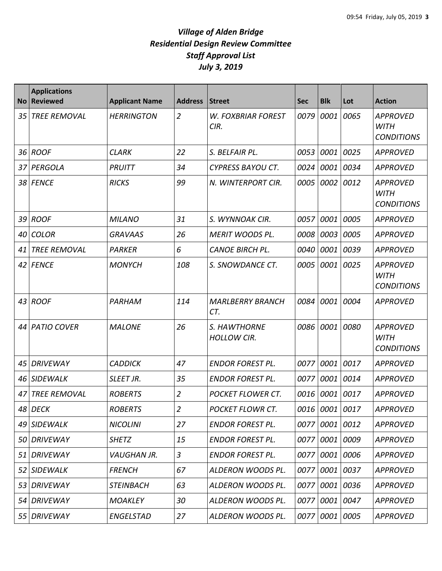| <b>No</b> | <b>Applications</b><br><b>Reviewed</b> | <b>Applicant Name</b> | <b>Address</b> | <b>Street</b>                      | <b>Sec</b> | <b>Blk</b>     | Lot       | <b>Action</b>                                       |
|-----------|----------------------------------------|-----------------------|----------------|------------------------------------|------------|----------------|-----------|-----------------------------------------------------|
| 35        | <b>TREE REMOVAL</b>                    | <b>HERRINGTON</b>     | $\overline{2}$ | <b>W. FOXBRIAR FOREST</b><br>CIR.  | 0079       | 0001           | 0065      | <b>APPROVED</b><br><b>WITH</b><br><b>CONDITIONS</b> |
| 36        | <b>ROOF</b>                            | <b>CLARK</b>          | 22             | S. BELFAIR PL.                     | 0053       | 0001           | 0025      | <b>APPROVED</b>                                     |
| 37        | PERGOLA                                | PRUITT                | 34             | <b>CYPRESS BAYOU CT.</b>           | 0024       | 0001           | 0034      | <b>APPROVED</b>                                     |
| 38        | <b>FENCE</b>                           | <b>RICKS</b>          | 99             | N. WINTERPORT CIR.                 | 0005       | 0002           | 0012      | <b>APPROVED</b><br><b>WITH</b><br><b>CONDITIONS</b> |
| 39        | <b>ROOF</b>                            | <b>MILANO</b>         | 31             | S. WYNNOAK CIR.                    | 0057       | 0001           | 0005      | <b>APPROVED</b>                                     |
| 40        | <b>COLOR</b>                           | <b>GRAVAAS</b>        | 26             | <b>MERIT WOODS PL.</b>             | 0008       | 0003           | 0005      | <b>APPROVED</b>                                     |
| 41        | <b>TREE REMOVAL</b>                    | <b>PARKER</b>         | 6              | <b>CANOE BIRCH PL.</b>             | 0040       | 0001           | 0039      | <b>APPROVED</b>                                     |
| 42        | <b>FENCE</b>                           | <b>MONYCH</b>         | 108            | S. SNOWDANCE CT.                   | 0005       | 0001           | 0025      | <b>APPROVED</b><br><b>WITH</b><br><b>CONDITIONS</b> |
| 43        | <b>ROOF</b>                            | PARHAM                | 114            | <b>MARLBERRY BRANCH</b><br>CT.     | 0084       | 0001           | 0004      | <b>APPROVED</b>                                     |
| 44        | <b>PATIO COVER</b>                     | <b>MALONE</b>         | 26             | S. HAWTHORNE<br><b>HOLLOW CIR.</b> | 0086       | 0001           | 0080      | <b>APPROVED</b><br><b>WITH</b><br><b>CONDITIONS</b> |
| 45        | <b>DRIVEWAY</b>                        | <b>CADDICK</b>        | 47             | <b>ENDOR FOREST PL.</b>            | 0077       | 0001           | 0017      | <b>APPROVED</b>                                     |
| 46        | <b>SIDEWALK</b>                        | SLEET JR.             | 35             | <b>ENDOR FOREST PL.</b>            | 0077       |                | 0001 0014 | <b>APPROVED</b>                                     |
| 47        | <b>TREE REMOVAL</b>                    | <b>ROBERTS</b>        | $\overline{2}$ | POCKET FLOWER CT.                  | 0016       | 0001           | 0017      | <b>APPROVED</b>                                     |
|           | 48 DECK                                | <b>ROBERTS</b>        | $\overline{2}$ | POCKET FLOWR CT.                   |            | 0016 0001 0017 |           | <b>APPROVED</b>                                     |
|           | 49 SIDEWALK                            | <b>NICOLINI</b>       | 27             | <b>ENDOR FOREST PL.</b>            |            | 0077 0001 0012 |           | APPROVED                                            |
| 50        | DRIVEWAY                               | <b>SHETZ</b>          | 15             | <b>ENDOR FOREST PL.</b>            |            | 0077 0001 0009 |           | <b>APPROVED</b>                                     |
| 51        | <b>DRIVEWAY</b>                        | VAUGHAN JR.           | $\mathfrak{Z}$ | <b>ENDOR FOREST PL.</b>            | 0077       |                | 0001 0006 | <b>APPROVED</b>                                     |
| 52        | <b>SIDEWALK</b>                        | <b>FRENCH</b>         | 67             | ALDERON WOODS PL.                  | 0077       |                | 0001 0037 | <b>APPROVED</b>                                     |
| 53        | <b>DRIVEWAY</b>                        | <b>STEINBACH</b>      | 63             | ALDERON WOODS PL.                  | 0077       |                | 0001 0036 | <b>APPROVED</b>                                     |
| 54        | DRIVEWAY                               | <b>MOAKLEY</b>        | 30             | ALDERON WOODS PL.                  | 0077       |                | 0001 0047 | <b>APPROVED</b>                                     |
| 55        | <b>DRIVEWAY</b>                        | <b>ENGELSTAD</b>      | 27             | ALDERON WOODS PL.                  | 0077       |                | 0001 0005 | <b>APPROVED</b>                                     |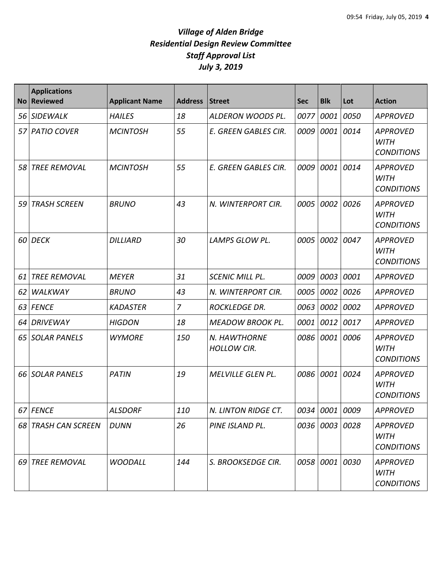| <b>No</b> | <b>Applications</b><br><b>Reviewed</b> | <b>Applicant Name</b> | <b>Address</b> | <b>Street</b>                      | <b>Sec</b> | <b>Blk</b>     | Lot  | <b>Action</b>                                       |
|-----------|----------------------------------------|-----------------------|----------------|------------------------------------|------------|----------------|------|-----------------------------------------------------|
| 56        | SIDEWALK                               | <b>HAILES</b>         | 18             | ALDERON WOODS PL.                  | 0077       | 0001           | 0050 | <b>APPROVED</b>                                     |
| 57        | <b>PATIO COVER</b>                     | <b>MCINTOSH</b>       | 55             | E. GREEN GABLES CIR.               | 0009       | 0001           | 0014 | <b>APPROVED</b><br><b>WITH</b><br><b>CONDITIONS</b> |
| 58        | <b>TREE REMOVAL</b>                    | <b>MCINTOSH</b>       | 55             | E. GREEN GABLES CIR.               | 0009       | 0001           | 0014 | <b>APPROVED</b><br><b>WITH</b><br><b>CONDITIONS</b> |
| 59 I      | <b>TRASH SCREEN</b>                    | <b>BRUNO</b>          | 43             | N. WINTERPORT CIR.                 | 0005       | 0002           | 0026 | <b>APPROVED</b><br><b>WITH</b><br><b>CONDITIONS</b> |
|           | 60 DECK                                | <b>DILLIARD</b>       | 30             | LAMPS GLOW PL.                     | 0005       | 0002           | 0047 | <b>APPROVED</b><br><b>WITH</b><br><b>CONDITIONS</b> |
| 61        | <b>TREE REMOVAL</b>                    | <b>MEYER</b>          | 31             | <b>SCENIC MILL PL.</b>             | 0009       | 0003           | 0001 | <b>APPROVED</b>                                     |
| 62        | WALKWAY                                | <b>BRUNO</b>          | 43             | N. WINTERPORT CIR.                 | 0005       | 0002           | 0026 | <b>APPROVED</b>                                     |
| 63        | <b>FENCE</b>                           | <b>KADASTER</b>       | $\overline{7}$ | <b>ROCKLEDGE DR.</b>               | 0063       | 0002           | 0002 | <b>APPROVED</b>                                     |
| 64        | <b>DRIVEWAY</b>                        | <b>HIGDON</b>         | 18             | <b>MEADOW BROOK PL.</b>            | 0001       | 0012           | 0017 | <b>APPROVED</b>                                     |
| 65        | <b>SOLAR PANELS</b>                    | <b>WYMORE</b>         | 150            | N. HAWTHORNE<br><b>HOLLOW CIR.</b> | 0086       | 0001           | 0006 | <b>APPROVED</b><br><b>WITH</b><br><b>CONDITIONS</b> |
|           | 66 SOLAR PANELS                        | <b>PATIN</b>          | 19             | <b>MELVILLE GLEN PL.</b>           | 0086       | 0001           | 0024 | <b>APPROVED</b><br><b>WITH</b><br><b>CONDITIONS</b> |
|           | 67 FENCE                               | <b>ALSDORF</b>        | 110            | N. LINTON RIDGE CT.                |            | 0034 0001 0009 |      | APPROVED                                            |
|           | 68 TRASH CAN SCREEN                    | <b>DUNN</b>           | 26             | PINE ISLAND PL.                    |            | 0036 0003 0028 |      | <b>APPROVED</b><br><b>WITH</b><br><b>CONDITIONS</b> |
|           | 69 TREE REMOVAL                        | <b>WOODALL</b>        | 144            | S. BROOKSEDGE CIR.                 |            | 0058 0001 0030 |      | <b>APPROVED</b><br>WITH<br><b>CONDITIONS</b>        |